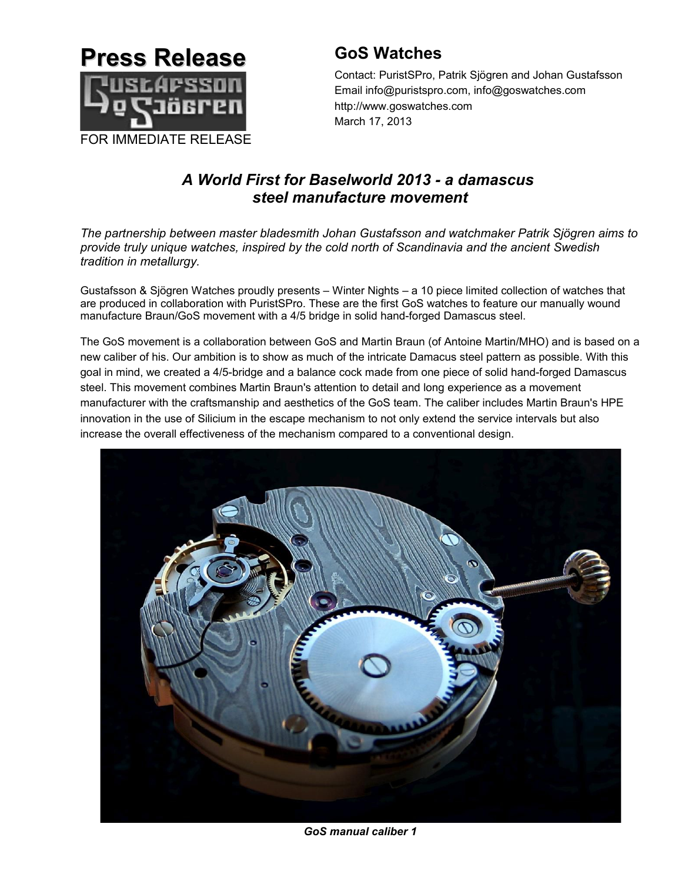

# **GoS Watches**

Contact: PuristSPro, Patrik Sjögren and Johan Gustafsson Email info@puristspro.com, info@goswatches.com http://www.goswatches.com March 17, 2013

# *A World First for Baselworld 2013 - a damascus steel manufacture movement*

*The partnership between master bladesmith Johan Gustafsson and watchmaker Patrik Sjögren aims to provide truly unique watches, inspired by the cold north of Scandinavia and the ancient Swedish tradition in metallurgy.*

Gustafsson & Sjögren Watches proudly presents – Winter Nights – a 10 piece limited collection of watches that are produced in collaboration with PuristSPro. These are the first GoS watches to feature our manually wound manufacture Braun/GoS movement with a 4/5 bridge in solid hand-forged Damascus steel.

The GoS movement is a collaboration between GoS and Martin Braun (of Antoine Martin/MHO) and is based on a new caliber of his. Our ambition is to show as much of the intricate Damacus steel pattern as possible. With this goal in mind, we created a 4/5-bridge and a balance cock made from one piece of solid hand-forged Damascus steel. This movement combines Martin Braun's attention to detail and long experience as a movement manufacturer with the craftsmanship and aesthetics of the GoS team. The caliber includes Martin Braun's HPE innovation in the use of Silicium in the escape mechanism to not only extend the service intervals but also increase the overall effectiveness of the mechanism compared to a conventional design.



*GoS manual caliber 1*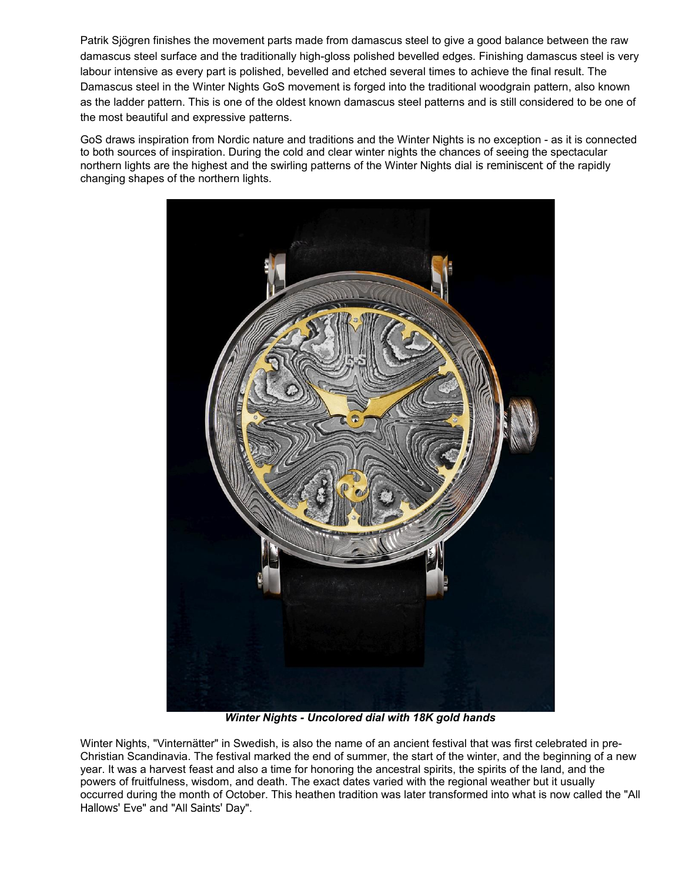Patrik Sjögren finishes the movement parts made from damascus steel to give a good balance between the raw damascus steel surface and the traditionally high-gloss polished bevelled edges. Finishing damascus steel is very labour intensive as every part is polished, bevelled and etched several times to achieve the final result. The Damascus steel in the Winter Nights GoS movement is forged into the traditional woodgrain pattern, also known as the ladder pattern. This is one of the oldest known damascus steel patterns and is still considered to be one of the most beautiful and expressive patterns.

GoS draws inspiration from Nordic nature and traditions and the Winter Nights is no exception - as it is connected to both sources of inspiration. During the cold and clear winter nights the chances of seeing the spectacular northern lights are the highest and the swirling patterns of the Winter Nights dial is reminiscent of the rapidly changing shapes of the northern lights.



*Winter Nights - Uncolored dial with 18K gold hands*

Winter Nights, "Vinternätter" in Swedish, is also the name of an ancient festival that was first celebrated in pre-Christian Scandinavia. The festival marked the end of summer, the start of the winter, and the beginning of a new year. It was a harvest feast and also a time for honoring the ancestral spirits, the spirits of the land, and the powers of fruitfulness, wisdom, and death. The exact dates varied with the regional weather but it usually occurred during the month of October. This heathen tradition was later transformed into what is now called the "All Hallows' Eve" and "All Saints' Day".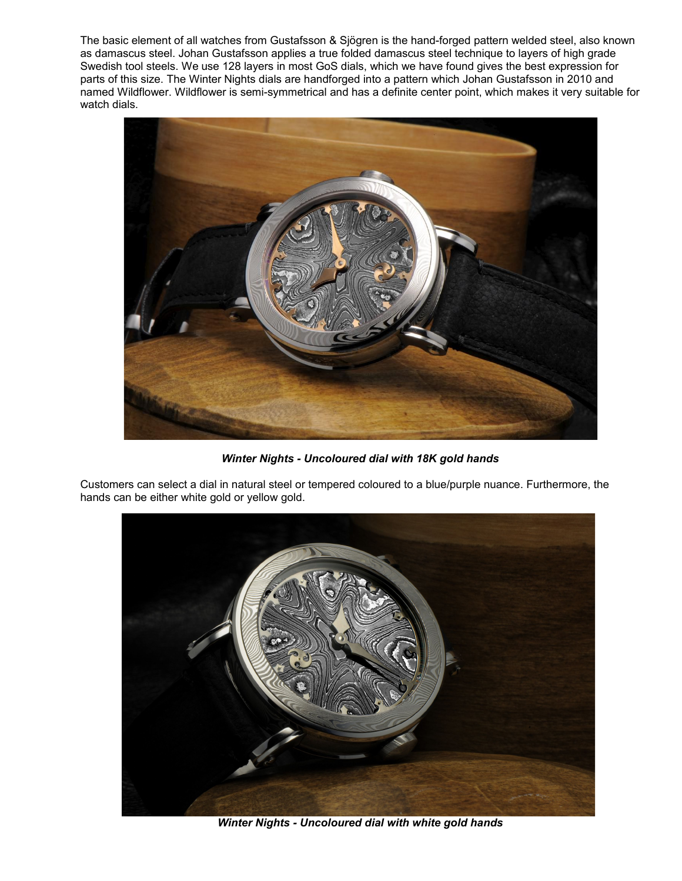The basic element of all watches from Gustafsson & Sjögren is the hand-forged pattern welded steel, also known as damascus steel. Johan Gustafsson applies a true folded damascus steel technique to layers of high grade Swedish tool steels. We use 128 layers in most GoS dials, which we have found gives the best expression for parts of this size. The Winter Nights dials are handforged into a pattern which Johan Gustafsson in 2010 and named Wildflower. Wildflower is semi-symmetrical and has a definite center point, which makes it very suitable for watch dials.



*Winter Nights - Uncoloured dial with 18K gold hands*

Customers can select a dial in natural steel or tempered coloured to a blue/purple nuance. Furthermore, the hands can be either white gold or yellow gold.



*Winter Nights - Uncoloured dial with white gold hands*